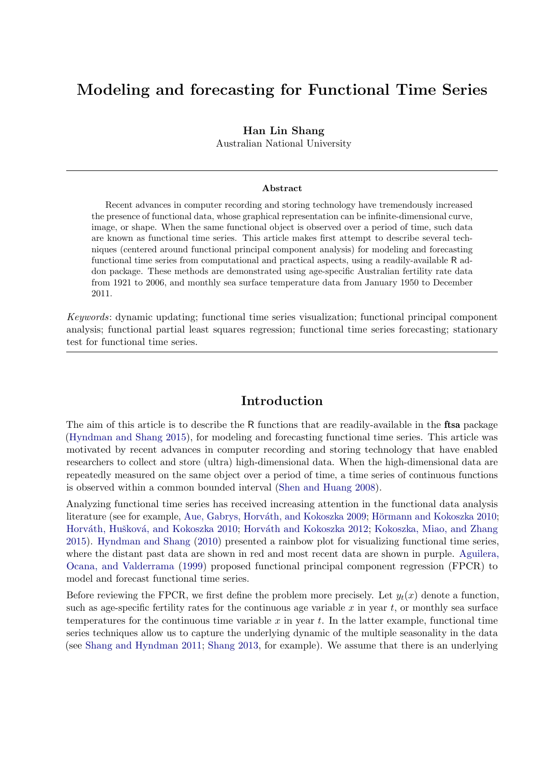# Modeling and forecasting for Functional Time Series

### Han Lin Shang

Australian National University

#### Abstract

Recent advances in computer recording and storing technology have tremendously increased the presence of functional data, whose graphical representation can be infinite-dimensional curve, image, or shape. When the same functional object is observed over a period of time, such data are known as functional time series. This article makes first attempt to describe several techniques (centered around functional principal component analysis) for modeling and forecasting functional time series from computational and practical aspects, using a readily-available R addon package. These methods are demonstrated using age-specific Australian fertility rate data from 1921 to 2006, and monthly sea surface temperature data from January 1950 to December 2011.

Keywords: dynamic updating; functional time series visualization; functional principal component analysis; functional partial least squares regression; functional time series forecasting; stationary test for functional time series.

# Introduction

The aim of this article is to describe the R functions that are readily-available in the ftsa package [\(Hyndman and Shang](#page-9-0) [2015\)](#page-9-0), for modeling and forecasting functional time series. This article was motivated by recent advances in computer recording and storing technology that have enabled researchers to collect and store (ultra) high-dimensional data. When the high-dimensional data are repeatedly measured on the same object over a period of time, a time series of continuous functions is observed within a common bounded interval [\(Shen and Huang](#page-10-0) [2008\)](#page-10-0).

Analyzing functional time series has received increasing attention in the functional data analysis literature (see for example, Aue, Gabrys, Horváth, and Kokoszka [2009;](#page-9-1) Hörmann and Kokoszka [2010;](#page-9-2) Horváth, Hušková, and Kokoszka [2010;](#page-9-3) Horváth and Kokoszka [2012;](#page-9-4) [Kokoszka, Miao, and Zhang](#page-10-1) [2015\)](#page-10-1). [Hyndman and Shang](#page-10-2) [\(2010\)](#page-10-2) presented a rainbow plot for visualizing functional time series, where the distant past data are shown in red and most recent data are shown in purple. [Aguilera,](#page-9-5) [Ocana, and Valderrama](#page-9-5) [\(1999\)](#page-9-5) proposed functional principal component regression (FPCR) to model and forecast functional time series.

Before reviewing the FPCR, we first define the problem more precisely. Let  $y_t(x)$  denote a function, such as age-specific fertility rates for the continuous age variable  $x$  in year  $t$ , or monthly sea surface temperatures for the continuous time variable x in year t. In the latter example, functional time series techniques allow us to capture the underlying dynamic of the multiple seasonality in the data (see [Shang and Hyndman](#page-10-3) [2011;](#page-10-3) [Shang](#page-10-4) [2013,](#page-10-4) for example). We assume that there is an underlying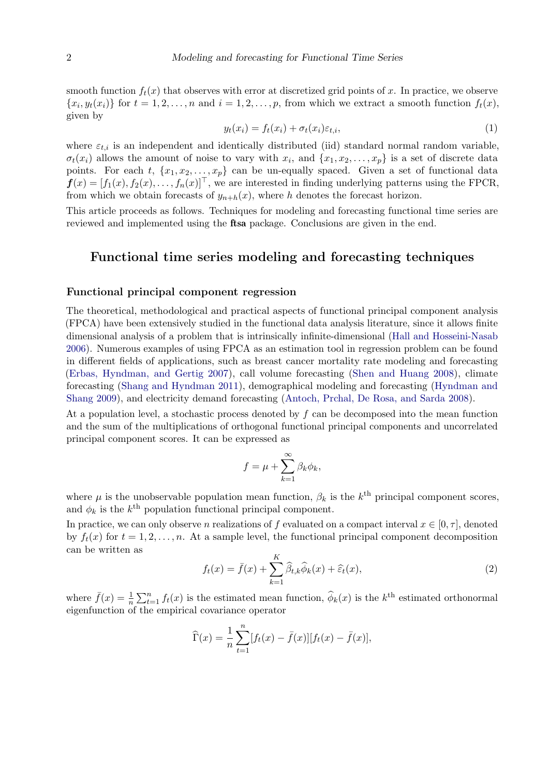<span id="page-1-0"></span>smooth function  $f_t(x)$  that observes with error at discretized grid points of x. In practice, we observe  $\{x_i, y_t(x_i)\}\$ for  $t = 1, 2, \ldots, n$  and  $i = 1, 2, \ldots, p$ , from which we extract a smooth function  $f_t(x)$ , given by

$$
y_t(x_i) = f_t(x_i) + \sigma_t(x_i)\varepsilon_{t,i},\tag{1}
$$

where  $\varepsilon_{t,i}$  is an independent and identically distributed (iid) standard normal random variable,  $\sigma_t(x_i)$  allows the amount of noise to vary with  $x_i$ , and  $\{x_1, x_2, \ldots, x_p\}$  is a set of discrete data points. For each t,  $\{x_1, x_2, \ldots, x_p\}$  can be un-equally spaced. Given a set of functional data  $f(x) = [f_1(x), f_2(x), \ldots, f_n(x)]^\top$ , we are interested in finding underlying patterns using the FPCR, from which we obtain forecasts of  $y_{n+h}(x)$ , where h denotes the forecast horizon.

This article proceeds as follows. Techniques for modeling and forecasting functional time series are reviewed and implemented using the ftsa package. Conclusions are given in the end.

## Functional time series modeling and forecasting techniques

#### Functional principal component regression

The theoretical, methodological and practical aspects of functional principal component analysis (FPCA) have been extensively studied in the functional data analysis literature, since it allows finite dimensional analysis of a problem that is intrinsically infinite-dimensional [\(Hall and Hosseini-Nasab](#page-9-6) [2006\)](#page-9-6). Numerous examples of using FPCA as an estimation tool in regression problem can be found in different fields of applications, such as breast cancer mortality rate modeling and forecasting [\(Erbas, Hyndman, and Gertig](#page-9-7) [2007\)](#page-9-7), call volume forecasting [\(Shen and Huang](#page-10-0) [2008\)](#page-10-0), climate forecasting [\(Shang and Hyndman](#page-10-3) [2011\)](#page-10-3), demographical modeling and forecasting [\(Hyndman and](#page-9-8) [Shang](#page-9-8) [2009\)](#page-9-8), and electricity demand forecasting [\(Antoch, Prchal, De Rosa, and Sarda](#page-9-9) [2008\)](#page-9-9).

At a population level, a stochastic process denoted by  $f$  can be decomposed into the mean function and the sum of the multiplications of orthogonal functional principal components and uncorrelated principal component scores. It can be expressed as

$$
f = \mu + \sum_{k=1}^{\infty} \beta_k \phi_k,
$$

where  $\mu$  is the unobservable population mean function,  $\beta_k$  is the  $k^{\text{th}}$  principal component scores, and  $\phi_k$  is the  $k^{\text{th}}$  population functional principal component.

In practice, we can only observe n realizations of f evaluated on a compact interval  $x \in [0, \tau]$ , denoted by  $f_t(x)$  for  $t = 1, 2, \ldots, n$ . At a sample level, the functional principal component decomposition can be written as

<span id="page-1-1"></span>
$$
f_t(x) = \bar{f}(x) + \sum_{k=1}^{K} \widehat{\beta}_{t,k} \widehat{\phi}_k(x) + \widehat{\varepsilon}_t(x), \qquad (2)
$$

where  $\bar{f}(x) = \frac{1}{n} \sum_{t=1}^{n} f_t(x)$  is the estimated mean function,  $\hat{\phi}_k(x)$  is the  $k^{\text{th}}$  estimated orthonormal eigenfunction of the empirical covariance operator

$$
\widehat{\Gamma}(x) = \frac{1}{n} \sum_{t=1}^{n} [f_t(x) - \bar{f}(x)][f_t(x) - \bar{f}(x)],
$$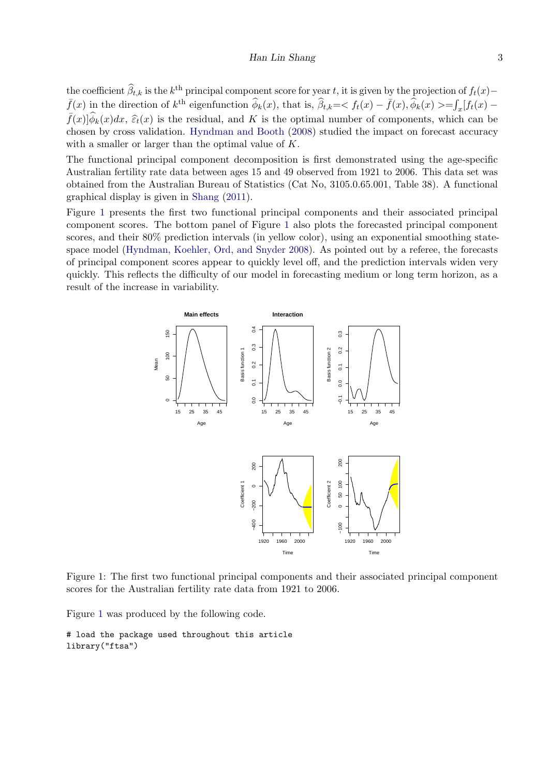the coefficient  $\widehat{\beta}_{t,k}$  is the k<sup>th</sup> principal component score for year t, it is given by the projection of  $f_t(x)$ −  $\bar{f}(x)$  in the direction of  $k^{\text{th}}$  eigenfunction  $\widehat{\phi}_k(x)$ , that is,  $\widehat{\beta}_{t,k}==\int_x[f_t(x)-\bar{f}(x)]$  $\bar{f}(x)$ ] $\hat{\phi}_k(x)dx$ ,  $\hat{\epsilon}_t(x)$  is the residual, and K is the optimal number of components, which can be chosen by exact validation. Hypdrana and Booth (2008) studied the impact on foreast assumers chosen by cross validation. [Hyndman and Booth](#page-9-10) [\(2008\)](#page-9-10) studied the impact on forecast accuracy with a smaller or larger than the optimal value of K.

The functional principal component decomposition is first demonstrated using the age-specific Australian fertility rate data between ages 15 and 49 observed from 1921 to 2006. This data set was obtained from the Australian Bureau of Statistics (Cat No, 3105.0.65.001, Table 38). A functional graphical display is given in [Shang](#page-10-5) [\(2011\)](#page-10-5).

Figure [1](#page-2-0) presents the first two functional principal components and their associated principal component scores. The bottom panel of Figure [1](#page-2-0) also plots the forecasted principal component scores, and their 80% prediction intervals (in yellow color), using an exponential smoothing statespace model [\(Hyndman, Koehler, Ord, and Snyder](#page-9-11) [2008\)](#page-9-11). As pointed out by a referee, the forecasts of principal component scores appear to quickly level off, and the prediction intervals widen very quickly. This reflects the difficulty of our model in forecasting medium or long term horizon, as a result of the increase in variability.

<span id="page-2-0"></span>

Figure 1: The first two functional principal components and their associated principal component scores for the Australian fertility rate data from 1921 to 2006.

Figure [1](#page-2-0) was produced by the following code.

# load the package used throughout this article library("ftsa")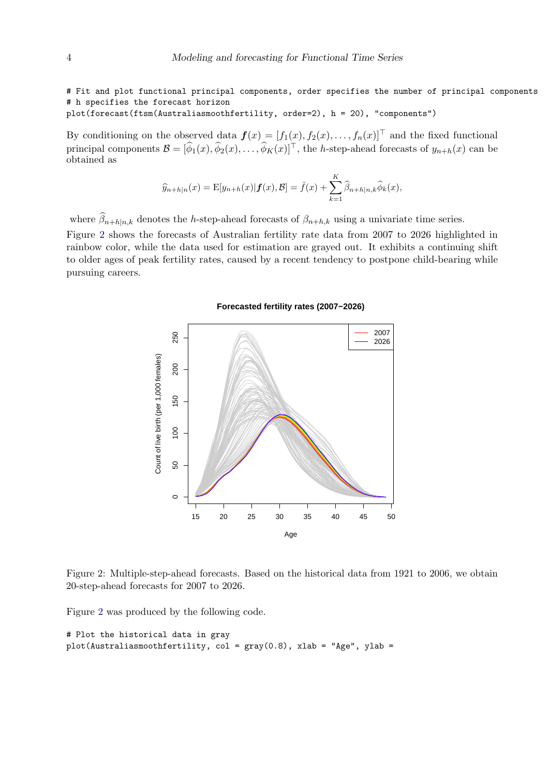# Fit and plot functional principal components, order specifies the number of principal components # h specifies the forecast horizon

plot(forecast(ftsm(Australiasmoothfertility, order=2), h = 20), "components")

By conditioning on the observed data  $\boldsymbol{f}(x) = [f_1(x), f_2(x), \dots, f_n(x)]^\top$  and the fixed functional principal components  $\mathcal{B} = [\hat{\phi}_1(x), \hat{\phi}_2(x), \dots, \hat{\phi}_K(x)]^\top$ , the h-step-ahead forecasts of  $y_{n+h}(x)$  can be obtained as

$$
\widehat{y}_{n+h|n}(x) = \mathbb{E}[y_{n+h}(x)|\boldsymbol{f}(x),\mathcal{B}] = \bar{f}(x) + \sum_{k=1}^{K} \widehat{\beta}_{n+h|n,k} \widehat{\phi}_k(x),
$$

<span id="page-3-0"></span>where  $\beta_{n+h|n,k}$  denotes the h-step-ahead forecasts of  $\beta_{n+h,k}$  using a univariate time series. Figure [2](#page-3-0) shows the forecasts of Australian fertility rate data from 2007 to 2026 highlighted in rainbow color, while the data used for estimation are grayed out. It exhibits a continuing shift to older ages of peak fertility rates, caused by a recent tendency to postpone child-bearing while pursuing careers.

#### **Forecasted fertility rates (2007−2026)**



Figure 2: Multiple-step-ahead forecasts. Based on the historical data from 1921 to 2006, we obtain 20-step-ahead forecasts for 2007 to 2026.

Figure [2](#page-3-0) was produced by the following code.

```
# Plot the historical data in gray
plot(Australiasmoothfertility, col = gray(0.8), xlab = "Age", ylab =
```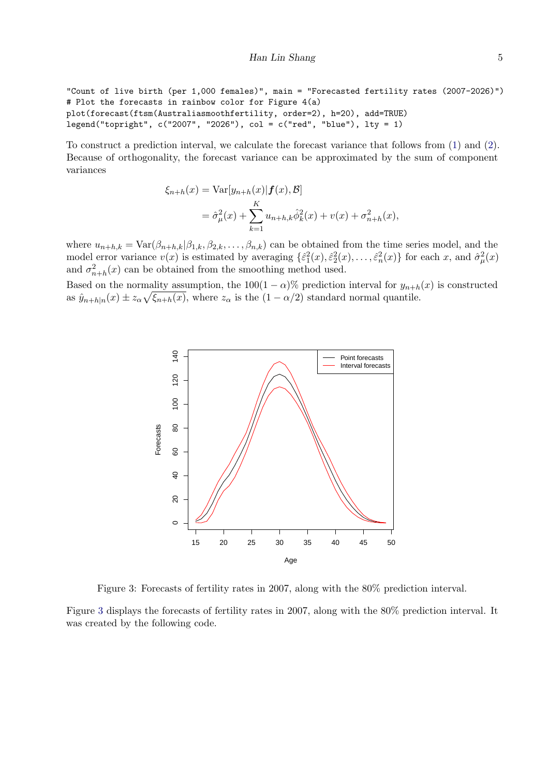"Count of live birth (per 1,000 females)", main = "Forecasted fertility rates (2007-2026)") # Plot the forecasts in rainbow color for Figure 4(a) plot(forecast(ftsm(Australiasmoothfertility, order=2), h=20), add=TRUE) legend("topright", c("2007", "2026"), col = c("red", "blue"), lty = 1)

To construct a prediction interval, we calculate the forecast variance that follows from [\(1\)](#page-1-0) and [\(2\)](#page-1-1). Because of orthogonality, the forecast variance can be approximated by the sum of component variances

$$
\xi_{n+h}(x) = \text{Var}[y_{n+h}(x)|f(x), \mathcal{B}]
$$
  
=  $\hat{\sigma}_{\mu}^{2}(x) + \sum_{k=1}^{K} u_{n+h,k} \hat{\phi}_{k}^{2}(x) + v(x) + \sigma_{n+h}^{2}(x),$ 

where  $u_{n+h,k} = \text{Var}(\beta_{n+h,k}|\beta_{1,k}, \beta_{2,k}, \dots, \beta_{n,k})$  can be obtained from the time series model, and the model error variance  $v(x)$  is estimated by averaging  $\{\hat{\varepsilon}_1^2(x), \hat{\varepsilon}_2^2(x), \ldots, \hat{\varepsilon}_n^2(x)\}$  for each x, and  $\hat{\sigma}_{\mu}^2(x)$ and  $\sigma_{n+h}^2(x)$  can be obtained from the smoothing method used.

<span id="page-4-0"></span>Based on the normality assumption, the  $100(1 - \alpha)$ % prediction interval for  $y_{n+h}(x)$  is constructed as  $\hat{y}_{n+h|n}(x) \pm z_\alpha \sqrt{\xi_{n+h}(x)}$ , where  $z_\alpha$  is the  $(1 - \alpha/2)$  standard normal quantile.



Figure 3: Forecasts of fertility rates in 2007, along with the 80% prediction interval.

Figure [3](#page-4-0) displays the forecasts of fertility rates in 2007, along with the 80% prediction interval. It was created by the following code.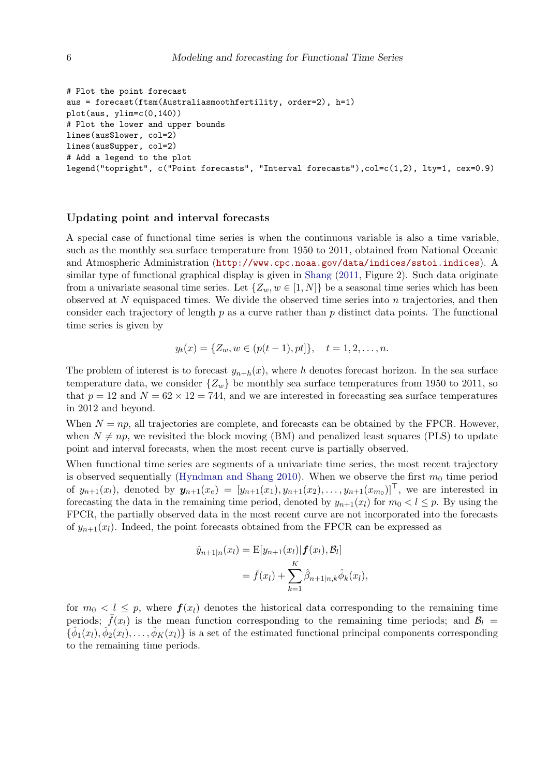```
# Plot the point forecast
aus = forecast(ftsm(Australiasmoothfertility, order=2), h=1)
plot(aus, ylim=c(0,140))
# Plot the lower and upper bounds
lines(aus$lower, col=2)
lines(aus$upper, col=2)
# Add a legend to the plot
legend("topright", c("Point forecasts", "Interval forecasts"),col=c(1,2), lty=1, cex=0.9)
```
#### Updating point and interval forecasts

A special case of functional time series is when the continuous variable is also a time variable, such as the monthly sea surface temperature from 1950 to 2011, obtained from National Oceanic and Atmospheric Administration ([http://www.cpc.noaa.gov/data/indices/sstoi.indices](http://www.cpc.noaa.gov/ data/indices/sstoi.indices)). A similar type of functional graphical display is given in [Shang](#page-10-5) [\(2011,](#page-10-5) Figure 2). Such data originate from a univariate seasonal time series. Let  $\{Z_w, w \in [1, N]\}$  be a seasonal time series which has been observed at  $N$  equispaced times. We divide the observed time series into  $n$  trajectories, and then consider each trajectory of length  $p$  as a curve rather than  $p$  distinct data points. The functional time series is given by

$$
y_t(x) = \{Z_w, w \in (p(t-1), pt]\}, \quad t = 1, 2, ..., n.
$$

The problem of interest is to forecast  $y_{n+h}(x)$ , where h denotes forecast horizon. In the sea surface temperature data, we consider  $\{Z_w\}$  be monthly sea surface temperatures from 1950 to 2011, so that  $p = 12$  and  $N = 62 \times 12 = 744$ , and we are interested in forecasting sea surface temperatures in 2012 and beyond.

When  $N = np$ , all trajectories are complete, and forecasts can be obtained by the FPCR. However, when  $N \neq np$ , we revisited the block moving (BM) and penalized least squares (PLS) to update point and interval forecasts, when the most recent curve is partially observed.

When functional time series are segments of a univariate time series, the most recent trajectory is observed sequentially [\(Hyndman and Shang](#page-10-2) [2010\)](#page-10-2). When we observe the first  $m_0$  time period of  $y_{n+1}(x_l)$ , denoted by  $y_{n+1}(x_e) = [y_{n+1}(x_1), y_{n+1}(x_2), \ldots, y_{n+1}(x_{m_0})]^\top$ , we are interested in forecasting the data in the remaining time period, denoted by  $y_{n+1}(x_l)$  for  $m_0 < l \leq p$ . By using the FPCR, the partially observed data in the most recent curve are not incorporated into the forecasts of  $y_{n+1}(x_l)$ . Indeed, the point forecasts obtained from the FPCR can be expressed as

$$
\hat{y}_{n+1|n}(x_l) = \mathbb{E}[y_{n+1}(x_l)|\mathbf{f}(x_l), \mathcal{B}_l]
$$
  
=  $\bar{f}(x_l) + \sum_{k=1}^K \hat{\beta}_{n+1|n,k} \hat{\phi}_k(x_l),$ 

for  $m_0 < l \leq p$ , where  $f(x_l)$  denotes the historical data corresponding to the remaining time periods;  $\bar{f}(x_l)$  is the mean function corresponding to the remaining time periods; and  $\mathcal{B}_l =$  $\{\hat{\phi}_1(x_l), \hat{\phi}_2(x_l), \ldots, \hat{\phi}_K(x_l)\}\$ is a set of the estimated functional principal components corresponding to the remaining time periods.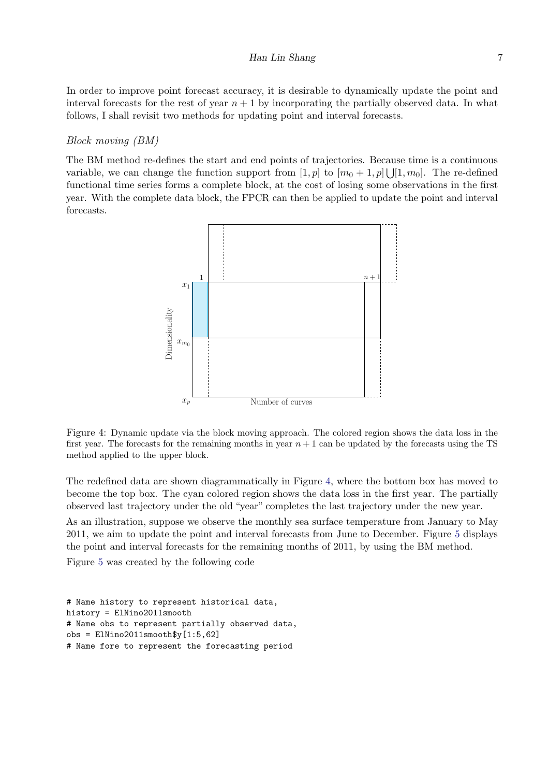In order to improve point forecast accuracy, it is desirable to dynamically update the point and interval forecasts for the rest of year  $n + 1$  by incorporating the partially observed data. In what follows, I shall revisit two methods for updating point and interval forecasts.

#### Block moving (BM)

<span id="page-6-0"></span>The BM method re-defines the start and end points of trajectories. Because time is a continuous variable, we can change the function support from  $[1, p]$  to  $[m_0 + 1, p] \cup [1, m_0]$ . The re-defined functional time series forms a complete block, at the cost of losing some observations in the first year. With the complete data block, the FPCR can then be applied to update the point and interval forecasts.



Figure 4: Dynamic update via the block moving approach. The colored region shows the data loss in the first year. The forecasts for the remaining months in year  $n + 1$  can be updated by the forecasts using the TS method applied to the upper block.

The redefined data are shown diagrammatically in Figure [4,](#page-6-0) where the bottom box has moved to become the top box. The cyan colored region shows the data loss in the first year. The partially observed last trajectory under the old "year" completes the last trajectory under the new year.

As an illustration, suppose we observe the monthly sea surface temperature from January to May 2011, we aim to update the point and interval forecasts from June to December. Figure [5](#page-7-0) displays the point and interval forecasts for the remaining months of 2011, by using the BM method.

Figure [5](#page-7-0) was created by the following code

```
# Name history to represent historical data,
history = ElNino2011smooth
# Name obs to represent partially observed data,
obs = E1Nino2011smooth\[1:5,62]
# Name fore to represent the forecasting period
```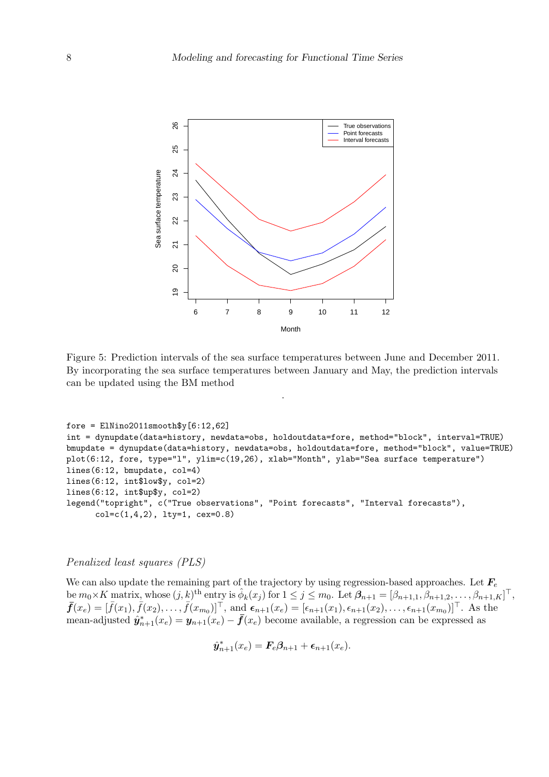<span id="page-7-0"></span>

Figure 5: Prediction intervals of the sea surface temperatures between June and December 2011. By incorporating the sea surface temperatures between January and May, the prediction intervals can be updated using the BM method

.

```
fore = E1Nino2011smooth$y[6:12,62]int = dynupdate(data=history, newdata=obs, holdoutdata=fore, method="block", interval=TRUE)
bmupdate = dynupdate(data=history, newdata=obs, holdoutdata=fore, method="block", value=TRUE)
plot(6:12, fore, type="l", ylim=c(19,26), xlab="Month", ylab="Sea surface temperature")
lines(6:12, bmupdate, col=4)
lines(6:12, int$low$y, col=2)
lines(6:12, int$up$y, col=2)
legend("topright", c("True observations", "Point forecasts", "Interval forecasts"),
      col=c(1,4,2), lty=1, cex=0.8)
```
### Penalized least squares (PLS)

We can also update the remaining part of the trajectory by using regression-based approaches. Let  $F_e$ be  $m_0 \times K$  matrix, whose  $(j, k)$ <sup>th</sup> entry is  $\hat{\phi}_k(x_j)$  for  $1 \leq j \leq m_0$ . Let  $\beta_{n+1} = [\beta_{n+1,1}, \beta_{n+1,2}, \dots, \beta_{n+1,K}]^\top$ ,  $\bar{f}(x_e) = [\bar{f}(x_1), \bar{f}(x_2), \ldots, \bar{f}(x_{m_0})]^{\top}$ , and  $\epsilon_{n+1}(x_e) = [\epsilon_{n+1}(x_1), \epsilon_{n+1}(x_2), \ldots, \epsilon_{n+1}(x_{m_0})]^{\top}$ . As the mean-adjusted  $\hat{\mathbf{y}}_{n+1}^*(x_e) = \mathbf{y}_{n+1}(x_e) - \bar{\mathbf{f}}(x_e)$  become available, a regression can be expressed as

$$
\hat{\mathbf{y}}_{n+1}^*(x_e) = \mathbf{F}_e \beta_{n+1} + \boldsymbol{\epsilon}_{n+1}(x_e).
$$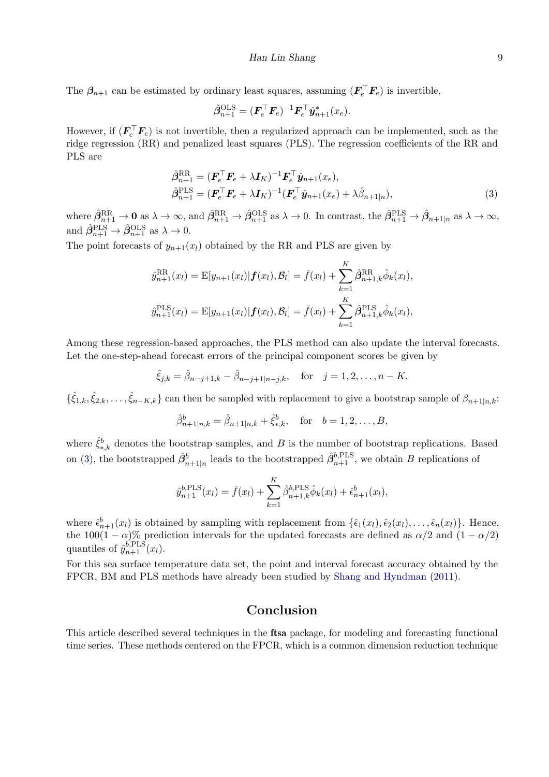The  $\beta_{n+1}$  can be estimated by ordinary least squares, assuming  $(F_e^{\top} F_e)$  is invertible,

<span id="page-8-0"></span>
$$
\hat{\beta}_{n+1}^{\text{OLS}} = (\boldsymbol{F}_e^{\top} \boldsymbol{F}_e)^{-1} \boldsymbol{F}_e^{\top} \hat{\boldsymbol{y}}_{n+1}^*(x_e).
$$

However, if  $(\mathbf{F}_e^{\top}\mathbf{F}_e)$  is not invertible, then a regularized approach can be implemented, such as the ridge regression (RR) and penalized least squares (PLS). The regression coefficients of the RR and PLS are

$$
\hat{\beta}_{n+1}^{\text{RR}} = (\boldsymbol{F}_e^{\top} \boldsymbol{F}_e + \lambda \boldsymbol{I}_K)^{-1} \boldsymbol{F}_e^{\top} \hat{\boldsymbol{y}}_{n+1}(x_e), \n\hat{\beta}_{n+1}^{\text{PLS}} = (\boldsymbol{F}_e^{\top} \boldsymbol{F}_e + \lambda \boldsymbol{I}_K)^{-1} (\boldsymbol{F}_e^{\top} \hat{\boldsymbol{y}}_{n+1}(x_e) + \lambda \hat{\beta}_{n+1|n}),
$$
\n(3)

where  $\hat{\beta}_{n+1}^{\text{RR}} \to 0$  as  $\lambda \to \infty$ , and  $\hat{\beta}_{n+1}^{\text{RR}} \to \hat{\beta}_{n+1}^{\text{OLS}}$  as  $\lambda \to 0$ . In contrast, the  $\hat{\beta}_{n+1}^{\text{PLS}} \to \hat{\beta}_{n+1|n}$  as  $\lambda \to \infty$ , and  $\hat{\beta}_{n+1}^{\text{PLS}} \rightarrow \hat{\beta}_{n+1}^{\text{OLS}}$  as  $\lambda \rightarrow 0$ .

The point forecasts of  $y_{n+1}(x_l)$  obtained by the RR and PLS are given by

$$
\hat{y}_{n+1}^{\text{RR}}(x_l) = \mathbb{E}[y_{n+1}(x_l)|\boldsymbol{f}(x_l), \mathcal{B}_l] = \bar{f}(x_l) + \sum_{k=1}^K \hat{\beta}_{n+1,k}^{\text{RR}} \hat{\phi}_k(x_l),
$$
  

$$
\hat{y}_{n+1}^{\text{PLS}}(x_l) = \mathbb{E}[y_{n+1}(x_l)|\boldsymbol{f}(x_l), \mathcal{B}_l] = \bar{f}(x_l) + \sum_{k=1}^K \hat{\beta}_{n+1,k}^{\text{PLS}} \hat{\phi}_k(x_l),
$$

Among these regression-based approaches, the PLS method can also update the interval forecasts. Let the one-step-ahead forecast errors of the principal component scores be given by

$$
\hat{\xi}_{j,k} = \hat{\beta}_{n-j+1,k} - \hat{\beta}_{n-j+1|n-j,k},
$$
 for  $j = 1, 2, ..., n - K.$ 

 $\{\hat{\xi}_{1,k}, \hat{\xi}_{2,k}, \ldots, \hat{\xi}_{n-K,k}\}\)$  can then be sampled with replacement to give a bootstrap sample of  $\beta_{n+1|n,k}$ :

$$
\hat{\beta}_{n+1|n,k}^b = \hat{\beta}_{n+1|n,k} + \hat{\xi}_{*,k}^b
$$
, for  $b = 1, 2, ..., B$ ,

where  $\hat{\xi}_{*,k}^b$  denotes the bootstrap samples, and B is the number of bootstrap replications. Based on [\(3\)](#page-8-0), the bootstrapped  $\hat{\beta}^b_{n+1|n}$  leads to the bootstrapped  $\hat{\beta}^{b,PLS}_{n+1}$ , we obtain B replications of

$$
\hat{y}_{n+1}^{b,\text{PLS}}(x_l) = \bar{f}(x_l) + \sum_{k=1}^{K} \hat{\beta}_{n+1,k}^{b,\text{PLS}} \hat{\phi}_k(x_l) + \hat{\epsilon}_{n+1}^b(x_l),
$$

where  $\hat{\epsilon}_{n+1}^b(x_l)$  is obtained by sampling with replacement from  $\{\hat{\epsilon}_1(x_l), \hat{\epsilon}_2(x_l), \dots, \hat{\epsilon}_n(x_l)\}$ . Hence, the  $100(1 - \alpha)\%$  prediction intervals for the updated forecasts are defined as  $\alpha/2$  and  $(1 - \alpha/2)$ quantiles of  $\hat{y}_{n+1}^{b,\text{PLS}}(x_l)$ .

For this sea surface temperature data set, the point and interval forecast accuracy obtained by the FPCR, BM and PLS methods have already been studied by [Shang and Hyndman](#page-10-3) [\(2011\)](#page-10-3).

# Conclusion

This article described several techniques in the ftsa package, for modeling and forecasting functional time series. These methods centered on the FPCR, which is a common dimension reduction technique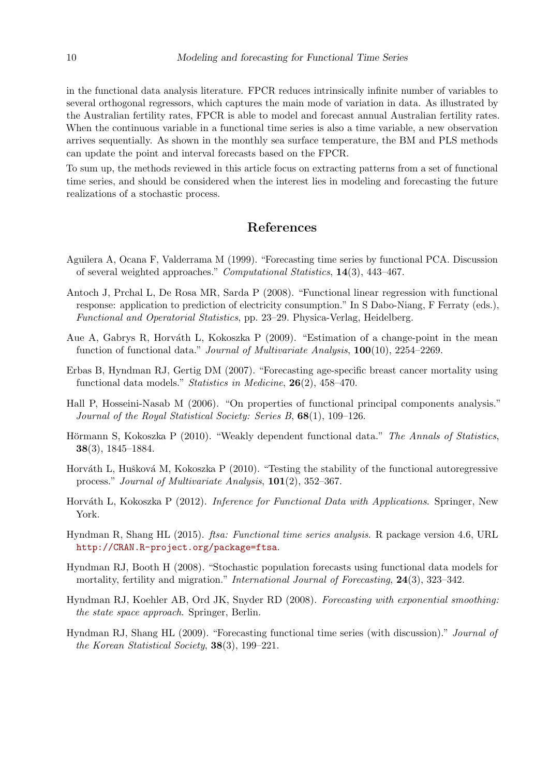in the functional data analysis literature. FPCR reduces intrinsically infinite number of variables to several orthogonal regressors, which captures the main mode of variation in data. As illustrated by the Australian fertility rates, FPCR is able to model and forecast annual Australian fertility rates. When the continuous variable in a functional time series is also a time variable, a new observation arrives sequentially. As shown in the monthly sea surface temperature, the BM and PLS methods can update the point and interval forecasts based on the FPCR.

To sum up, the methods reviewed in this article focus on extracting patterns from a set of functional time series, and should be considered when the interest lies in modeling and forecasting the future realizations of a stochastic process.

### References

- <span id="page-9-5"></span>Aguilera A, Ocana F, Valderrama M (1999). "Forecasting time series by functional PCA. Discussion of several weighted approaches." Computational Statistics, 14(3), 443–467.
- <span id="page-9-9"></span>Antoch J, Prchal L, De Rosa MR, Sarda P (2008). "Functional linear regression with functional response: application to prediction of electricity consumption." In S Dabo-Niang, F Ferraty (eds.), Functional and Operatorial Statistics, pp. 23–29. Physica-Verlag, Heidelberg.
- <span id="page-9-1"></span>Aue A, Gabrys R, Horváth L, Kokoszka P (2009). "Estimation of a change-point in the mean function of functional data." Journal of Multivariate Analysis, 100(10), 2254–2269.
- <span id="page-9-7"></span>Erbas B, Hyndman RJ, Gertig DM (2007). "Forecasting age-specific breast cancer mortality using functional data models." Statistics in Medicine, 26(2), 458–470.
- <span id="page-9-6"></span>Hall P, Hosseini-Nasab M (2006). "On properties of functional principal components analysis." Journal of the Royal Statistical Society: Series B, 68(1), 109–126.
- <span id="page-9-2"></span>Hörmann S, Kokoszka P (2010). "Weakly dependent functional data." The Annals of Statistics, 38(3), 1845–1884.
- <span id="page-9-3"></span>Horváth L, Hušková M, Kokoszka P (2010). "Testing the stability of the functional autoregressive process." Journal of Multivariate Analysis, 101(2), 352–367.
- <span id="page-9-4"></span>Horváth L, Kokoszka P (2012). *Inference for Functional Data with Applications*. Springer, New York.
- <span id="page-9-0"></span>Hyndman R, Shang HL (2015). ftsa: Functional time series analysis. R package version 4.6, URL <http://CRAN.R-project.org/package=ftsa>.
- <span id="page-9-10"></span>Hyndman RJ, Booth H (2008). "Stochastic population forecasts using functional data models for mortality, fertility and migration." International Journal of Forecasting, 24(3), 323-342.
- <span id="page-9-11"></span>Hyndman RJ, Koehler AB, Ord JK, Snyder RD (2008). Forecasting with exponential smoothing: the state space approach. Springer, Berlin.
- <span id="page-9-8"></span>Hyndman RJ, Shang HL (2009). "Forecasting functional time series (with discussion)." Journal of the Korean Statistical Society, 38(3), 199–221.